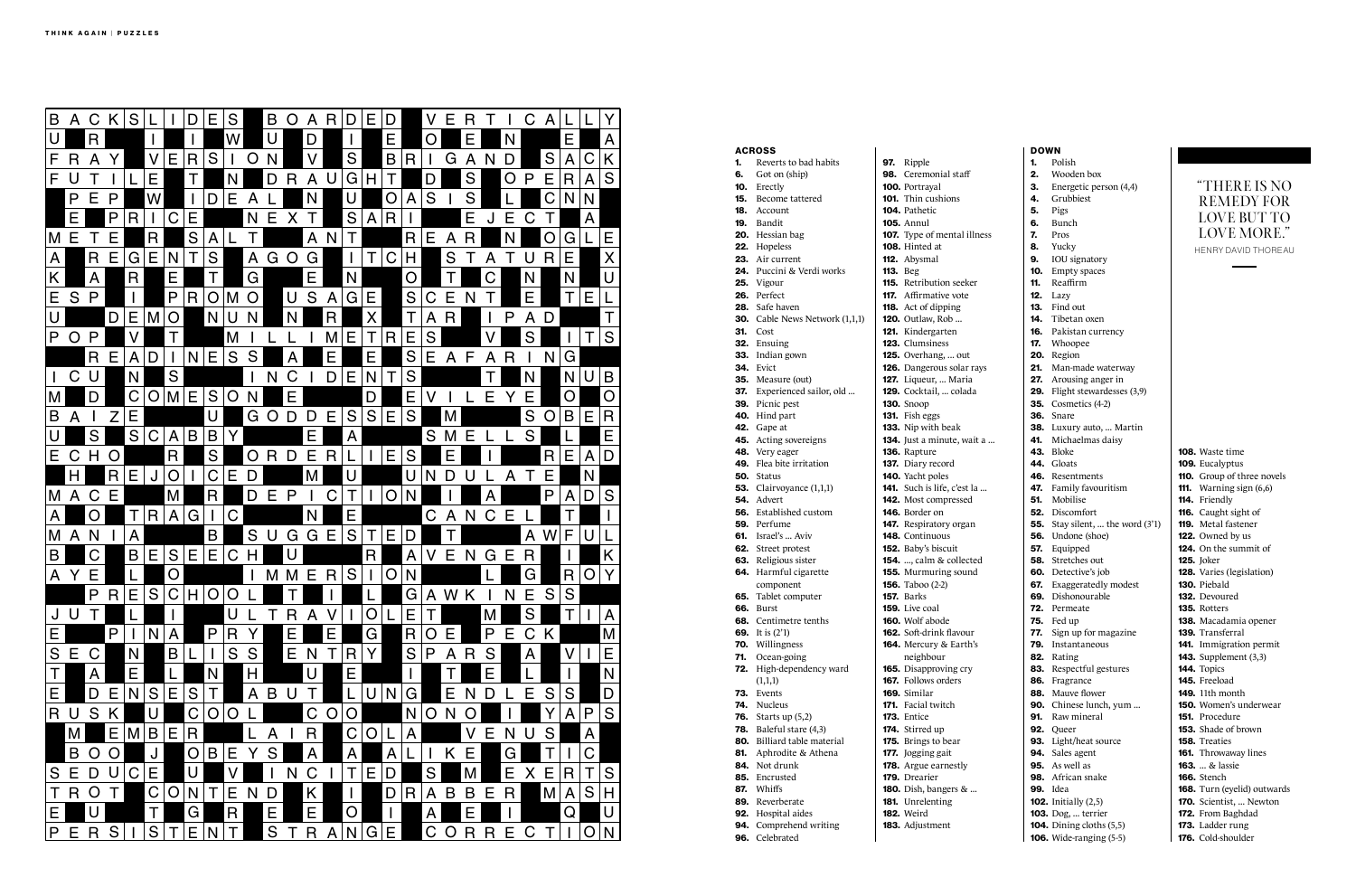96. Celebrated

## ACROSS 1. Reverts to bad habits 6. Got on (ship) 10. Erectly 15. Become tattered 18. Account 19. Bandit 20. Hessian bag 22. Hopeless 23. Air current 24. Puccini & Verdi works 25. Vigour 26. Perfect 28. Safe haven **30.** Cable News Network (1,1,1) 31. Cost 32. Ensuing 33. Indian gown **34.** Evict 35. Measure (out) 37. Experienced sailor, old ... 39. Picnic pest 40. Hind part **42.** Gape at 45. Acting sovereigns 48. Very eager 49. Flea bite irritation 50. Status **53.** Clairvoyance (1,1,1) 54. Advert 56. Established custom 59. Perfume **61.** Israel's ... Aviv 62. Street protest 63. Religious sister 64. Harmful cigarette component 65. Tablet computer **66.** Burst 68. Centimetre tenths 69. It is (2'1) 70. Willingness 71. Ocean-going 72. High-dependency ward  $(1,1,1)$ 73. Events 74. Nucleus **76.** Starts up (5,2) **78.** Baleful stare (4,3) 80. Billiard table material 81. Aphrodite & Athena 84. Not drunk 85. Encrusted 87. Whiffs 89. Reverberate 92. Hospital aides 94. Comprehend writing 97. Ripple 98. Ceremonial staff 100. Portrayal 101. Thin cushions 104. Pathetic 105. Annul 107. Type of mental il 108. Hinted at 112. Abysmal 113. Beg 115. Retribution seeke 117. Affirmative vote 118. Act of dipping 120. Outlaw, Rob ... 121. Kindergarten 123. Clumsiness 125. Overhang, ... out 126. Dangerous solar 127. Liqueur, ... Maria 129.  $Cocktail$  ...  $colad$ 130. Snoop 131. Fish eggs 133. Nip with beak 134. Just a minute, wa 136. Rapture 137. Diary record 140. Yacht poles 141. Such is life, c'est 142. Most compressed 146. Border on 147. Respiratory organ 148. Continuous 152. Baby's biscuit **154.** ..., calm & collect 155. Murmuring sound 156. Taboo (2-2) 157. Barks 159. Live coal 160. Wolf abode 162. Soft-drink flavour 164. Mercury  $&$  Earth neighbour 165. Disapproving cry 167. Follows orders 169. Similar 171. Facial twitch **173.** Entice 174. Stirred up 175. Brings to bear 177. Jogging gait 178. Argue earnestly 179. Drearier **180.** Dish, bangers & . 181. Unrelenting 182. Weird 183. Adjustment

106. Wide-ranging (5-5)

|         | <b>DOWN</b> |                                           |                                           |
|---------|-------------|-------------------------------------------|-------------------------------------------|
|         | 1.          | Polish                                    |                                           |
|         | 2.          | Wooden box                                |                                           |
|         | З.          | Energetic person (4,4)                    | "THERE IS NO                              |
|         | 4.          | Grubbiest                                 | <b>REMEDY FOR</b>                         |
|         | 5.          | Pigs                                      |                                           |
|         | 6.          | Bunch                                     | <b>LOVE BUT TO</b>                        |
| lness   | 7.          | Pros                                      | <b>LOVE MORE."</b>                        |
|         | 8.          | Yucky                                     | <b>HENRY DAVID THOREAU</b>                |
|         | 9.          | IOU signatory                             |                                           |
|         | 10.         | Empty spaces                              |                                           |
| Pr      | 11.         | Reaffirm                                  |                                           |
|         |             | <b>12.</b> Lazy                           |                                           |
|         | 13.         | Find out                                  |                                           |
|         | 14.         | Tibetan oxen                              |                                           |
|         | 16.         | Pakistan currency                         |                                           |
|         | 17.         | Whoopee                                   |                                           |
|         | 20.         | Region                                    |                                           |
| rays    | 21.         | Man-made waterway                         |                                           |
|         | 27.         | Arousing anger in                         |                                           |
| a       |             | 29. Flight stewardesses (3,9)             |                                           |
|         |             | <b>35.</b> Cosmetics (4-2)                |                                           |
|         |             | 36. Snare                                 |                                           |
|         |             | 38. Luxury auto,  Martin                  |                                           |
| it a    | 41.         | Michaelmas daisy                          |                                           |
|         | 43.         | Bloke                                     | <b>108.</b> Waste time                    |
|         | 44.         | Gloats                                    | 109. Eucalyptus                           |
|         | 46.         | Resentments                               | 110. Group of three novels                |
| la      | 47.         | Family favouritism                        | <b>111.</b> Warning sign $(6,6)$          |
|         | 51.         | Mobilise                                  | 114. Friendly                             |
|         |             | <b>52.</b> Discomfort                     | 116. Caught sight of                      |
| ı       |             | <b>55.</b> Stay silent,  the word (3'1)   | <b>119.</b> Metal fastener                |
|         |             | <b>56.</b> Undone (shoe)                  | 122. Owned by us                          |
|         | 57.         | Equipped                                  | <b>124.</b> On the summit of              |
| ed      | 58.         | Stretches out                             | <b>125.</b> Joker                         |
| ıd      | 60.         | Detective's job                           | 128. Varies (legislation)                 |
|         | 67.         | Exaggeratedly modest                      | 130. Piebald                              |
|         | 72.         | 69. Dishonourable                         | <b>132.</b> Devoured<br>135. Rotters      |
|         |             | Permeate                                  |                                           |
|         | 77.         | <b>75.</b> Fed up<br>Sign up for magazine | 138. Macadamia opener<br>139. Transferral |
| r<br>'s | 79.         | Instantaneous                             | 141. Immigration permit                   |
|         | 82.         | Rating                                    | <b>143.</b> Supplement (3,3)              |
|         | 83.         | Respectful gestures                       | 144. Topics                               |
|         | 86.         | Fragrance                                 | 145. Freeload                             |
|         | 88.         | Mauve flower                              | <b>149.</b> 11th month                    |
|         |             | 90. Chinese lunch, yum                    | <b>150.</b> Women's underwear             |
|         | 91.         | Raw mineral                               | 151. Procedure                            |
|         |             | 92. Queer                                 | 153. Shade of brown                       |
|         |             | 93. Light/heat source                     | 158. Treaties                             |
|         |             | 94. Sales agent                           | <b>161.</b> Throwaway lines               |
|         |             | 95. As well as                            | <b>163.</b> & lassie                      |
|         |             | 98. African snake                         | <b>166.</b> Stench                        |
|         |             | <b>99.</b> Idea                           | 168. Turn (eyelid) outwards               |
|         |             | <b>102.</b> Initially (2,5)               | 170. Scientist,  Newton                   |
|         |             | <b>103.</b> Dog,  terrier                 | 172. From Baghdad                         |
|         |             | <b>104.</b> Dining cloths (5,5)           | 173. Ladder rung                          |

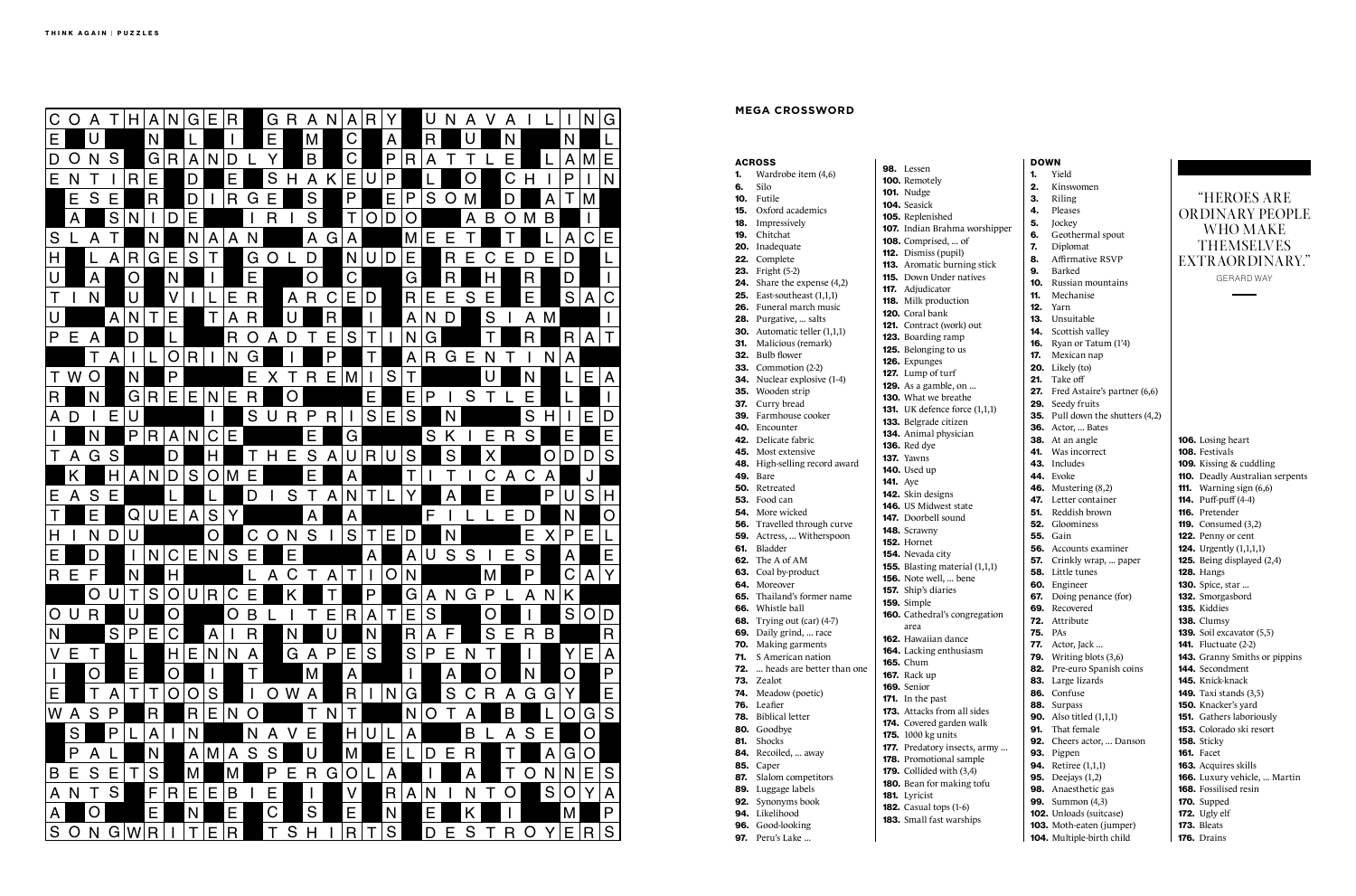97. Peru's Lake ...

|            | <b>ACROSS</b>                           |                 | 98. Lessen                        |
|------------|-----------------------------------------|-----------------|-----------------------------------|
| 1.         | Wardrobe item (4,6)                     |                 | 100. Remotely                     |
| 6.         | Silo                                    |                 | <b>101.</b> Nudge                 |
| 10.        | Futile                                  |                 | 104. Seasick                      |
| 15.        | Oxford academics                        |                 | 105. Replenished                  |
|            | <b>18.</b> Impressively                 |                 | <b>107.</b> Indian Brahma wors    |
| 19.        | Chitchat                                |                 | <b>108.</b> Comprised,  of        |
|            | 20. Inadequate                          |                 | <b>112.</b> Dismiss (pupil)       |
|            | 22. Complete<br><b>23.</b> Fright (5-2) |                 | 113. Aromatic burning st          |
|            | <b>24.</b> Share the expense (4,2)      |                 | <b>115.</b> Down Under natives    |
|            | <b>25.</b> East-southeast $(1,1,1)$     |                 | <b>117.</b> Adjudicator           |
|            | 26. Funeral march music                 |                 | <b>118.</b> Milk production       |
|            | 28. Purgative,  salts                   |                 | 120. Coral bank                   |
|            | <b>30.</b> Automatic teller $(1,1,1)$   |                 | <b>121.</b> Contract (work) out   |
| 31.        | Malicious (remark)                      |                 | 123. Boarding ramp                |
|            | 32. Bulb flower                         |                 | 125. Belonging to us              |
|            | <b>33.</b> Commotion (2-2)              |                 | 126. Expunges                     |
|            | <b>34.</b> Nuclear explosive (1-4)      |                 | 127. Lump of turf                 |
|            | 35. Wooden strip                        |                 | <b>129.</b> As a gamble, on       |
|            | 37. Curry bread                         |                 | 130. What we breathe              |
|            | 39. Farmhouse cooker                    |                 | <b>131.</b> UK defence force (1,  |
|            | 40. Encounter                           |                 | 133. Belgrade citizen             |
|            | <b>42.</b> Delicate fabric              |                 | 134. Animal physician             |
|            | <b>45.</b> Most extensive               |                 | <b>136.</b> Red dye               |
|            | 48. High-selling record award           |                 | <b>137.</b> Yawns                 |
|            | <b>49.</b> Bare                         |                 | <b>140.</b> Used up               |
|            | 50. Retreated                           | <b>141.</b> Aye | 142. Skin designs                 |
|            | <b>53.</b> Food can                     |                 | 146. US Midwest state             |
|            | <b>54.</b> More wicked                  |                 | <b>147.</b> Doorbell sound        |
|            | 56. Travelled through curve             |                 | 148. Scrawny                      |
| 59.        | Actress,  Witherspoon                   |                 | <b>152. Hornet</b>                |
| 61.        | Bladder                                 |                 | 154. Nevada city                  |
|            | <b>62.</b> The A of AM                  |                 | <b>155.</b> Blasting material (1, |
|            | 63. Coal by-product                     |                 | <b>156.</b> Note well,  bene      |
|            | 64. Moreover                            |                 | <b>157.</b> Ship's diaries        |
|            | <b>65.</b> Thailand's former name       |                 | 159. Simple                       |
| 66.        | Whistle ball                            |                 | 160. Cathedral's congrega         |
| 68.        | Trying out (car) (4-7)                  |                 | area                              |
| 69.        | Daily grind,  race                      |                 | <b>162.</b> Hawaiian dance        |
| 70.        | Making garments                         |                 | 164. Lacking enthusiasm           |
| 71.        | S American nation                       |                 | <b>165.</b> Chum                  |
| 72.        | heads are better than one               |                 | <b>167.</b> Rack up               |
| 73.        | Zealot                                  |                 | <b>169.</b> Senior                |
| 74.<br>76. | Meadow (poetic)<br>Leafier              |                 | 171. In the past                  |
| 78.        | <b>Biblical letter</b>                  |                 | 173. Attacks from all side        |
| 80.        | Goodbye                                 |                 | 174. Covered garden wall          |
| 81.        | Shocks                                  |                 | <b>175.</b> 1000 kg units         |
|            | 84. Recoiled,  away                     |                 | 177. Predatory insects, an        |
|            | <b>85.</b> Caper                        |                 | 178. Promotional sample           |
| 87.        | Slalom competitors                      |                 | <b>179.</b> Collided with $(3,4)$ |
| 89.        | Luggage labels                          |                 | 180. Bean for making tof          |
| 92.        | Synonyms book                           |                 | 181. Lyricist                     |
| 94.        | Likelihood                              |                 | <b>182.</b> Casual tops (1-6)     |
|            | 96. Good-looking                        |                 | 183. Small fast warships          |

|                      | <b>DOWN</b> |                                         |                                        |
|----------------------|-------------|-----------------------------------------|----------------------------------------|
|                      | 1.          | Yield                                   |                                        |
|                      | 2.          | Kinswomen                               |                                        |
|                      | З.          | Riling                                  | "HEROES ARE                            |
|                      | 4.          | Pleases                                 | <b>ORDINARY PEOPLE</b>                 |
| shipper              | 5.          | Jockey                                  | WHO MAKE                               |
|                      | 6.          | Geothermal spout                        |                                        |
|                      | 7.          | Diplomat                                | <b>THEMSELVES</b>                      |
| tick                 | 8.          | <b>Affirmative RSVP</b>                 | EXTRAORDINARY."                        |
| S                    | 9.          | Barked                                  | <b>GERARD WAY</b>                      |
|                      | 10.         | Russian mountains                       |                                        |
|                      | 11.         | Mechanise                               |                                        |
|                      | 12.         | Yarn                                    |                                        |
|                      | 13.         | Unsuitable                              |                                        |
|                      |             | <b>14.</b> Scottish valley              |                                        |
|                      |             | <b>16.</b> Ryan or Tatum (1'4)          |                                        |
|                      |             | 17. Mexican nap                         |                                        |
|                      |             | <b>20.</b> Likely (to)                  |                                        |
|                      |             | 21. Take off                            |                                        |
|                      |             | 27. Fred Astaire's partner (6,6)        |                                        |
| (1,1)                |             | 29. Seedy fruits                        |                                        |
|                      |             | <b>35.</b> Pull down the shutters (4,2) |                                        |
|                      |             | <b>36.</b> Actor,  Bates                |                                        |
|                      |             | 38. At an angle<br>41. Was incorrect    | 106. Losing heart<br>108. Festivals    |
|                      |             | 43. Includes                            | 109. Kissing & cuddling                |
|                      |             | 44. Evoke                               | <b>110.</b> Deadly Australian serpents |
|                      |             | <b>46.</b> Mustering (8,2)              | <b>111.</b> Warning sign $(6,6)$       |
|                      |             | <b>47.</b> Letter container             | <b>114.</b> Puff-puff (4-4)            |
|                      | 51.         | Reddish brown                           | <b>116.</b> Pretender                  |
|                      |             | <b>52.</b> Gloominess                   | <b>119.</b> Consumed $(3,2)$           |
|                      |             | <b>55.</b> Gain                         | 122. Penny or cent                     |
|                      |             | <b>56.</b> Accounts examiner            | <b>124.</b> Urgently (1,1,1,1)         |
|                      | 57.         | Crinkly wrap,  paper                    | <b>125.</b> Being displayed (2,4)      |
| ,1,1)                |             | 58. Little tunes                        | <b>128.</b> Hangs                      |
|                      |             | 60. Engineer                            | <b>130.</b> Spice, star                |
|                      |             | <b>67.</b> Doing penance (for)          | 132. Smorgasbord                       |
|                      |             | 69. Recovered                           | 135. Kiddies                           |
| ation                |             | 72. Attribute                           | 138. Clumsy                            |
|                      |             | <b>75.</b> PAs                          | 139. Soil excavator (5,5)              |
|                      | 77.         | Actor, Jack                             | <b>141.</b> Fluctuate (2-2)            |
|                      |             | <b>79.</b> Writing blots $(3,6)$        | <b>143.</b> Granny Smiths or pippins   |
|                      |             | 82. Pre-euro Spanish coins              | 144. Secondment                        |
|                      |             | 83. Large lizards                       | 145. Knick-knack                       |
|                      |             | 86. Confuse                             | <b>149.</b> Taxi stands (3,5)          |
| эs                   |             | 88. Surpass                             | <b>150.</b> Knacker's yard             |
| k                    |             | <b>90.</b> Also titled (1,1,1)          | <b>151.</b> Gathers laboriously        |
|                      | 91.         | That female                             | <b>153.</b> Colorado ski resort        |
| rmy                  |             | 92. Cheers actor,  Danson               | 158. Sticky                            |
| $\ddot{\phantom{0}}$ |             | 93. Pigpen                              | 161. Facet                             |
|                      |             | <b>94.</b> Retiree (1,1,1)              | 163. Acquires skills                   |
| fu                   |             | <b>95.</b> Deejays (1,2)                | 166. Luxury vehicle,  Martin           |
|                      |             | 98. Anaesthetic gas                     | <b>168.</b> Fossilised resin           |
|                      |             | <b>99.</b> Summon (4,3)                 | 170. Supped                            |
|                      |             | 102. Unloads (suitcase)                 | 172. Ugly elf                          |
|                      |             | 103. Moth-eaten (jumper)                | 173. Bleats                            |
|                      |             | <b>104.</b> Multiple-birth child        | 176. Drains                            |



## **MEGA CROSSWORD**